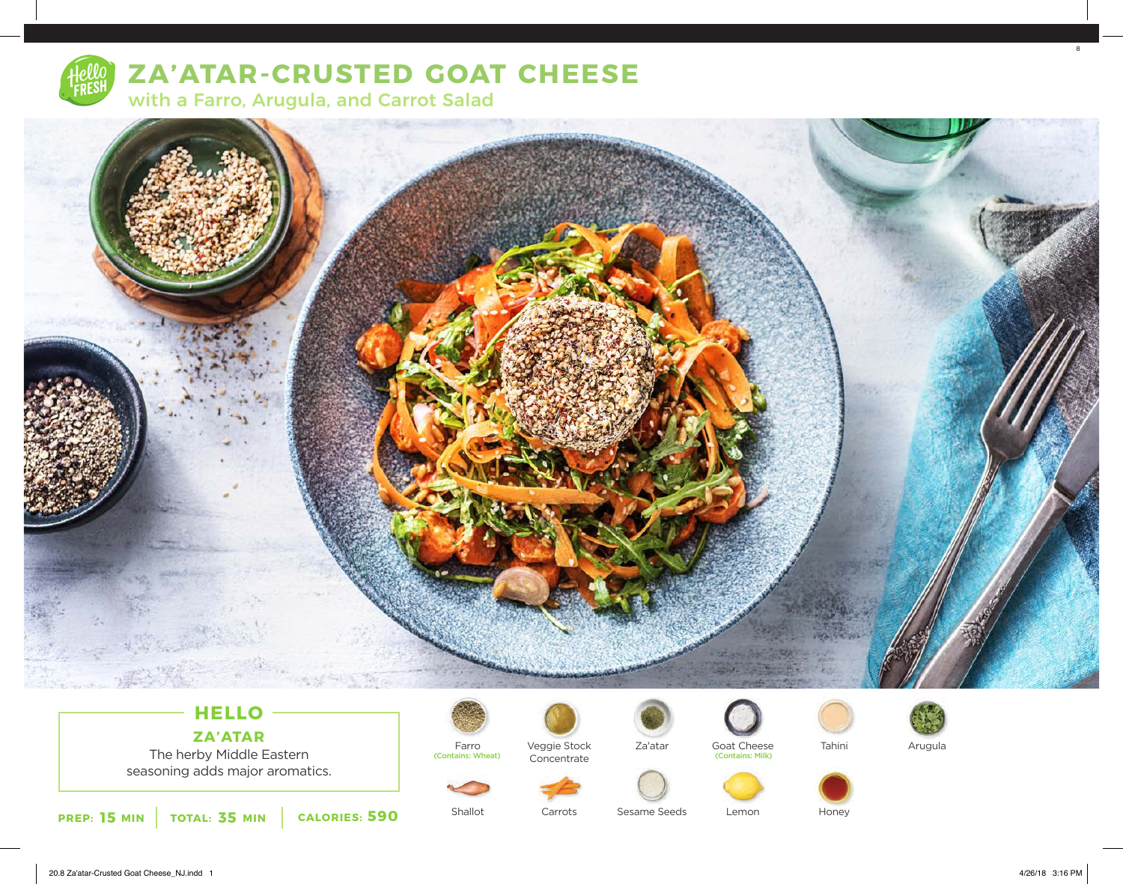

# **ZA'ATAR-CRUSTED GOAT CHEESE**

with a Farro, Arugula, and Carrot Salad



# **HELLO ZA'ATAR**

The herby Middle Eastern seasoning adds major aromatics.



(Contains: Wheat)

Veggie Stock Concentrate



Goat Cheese<br>
(Contains: Milk)





Arugula



Shallot Carrots

Lemon Sesame Seeds

Honey

8